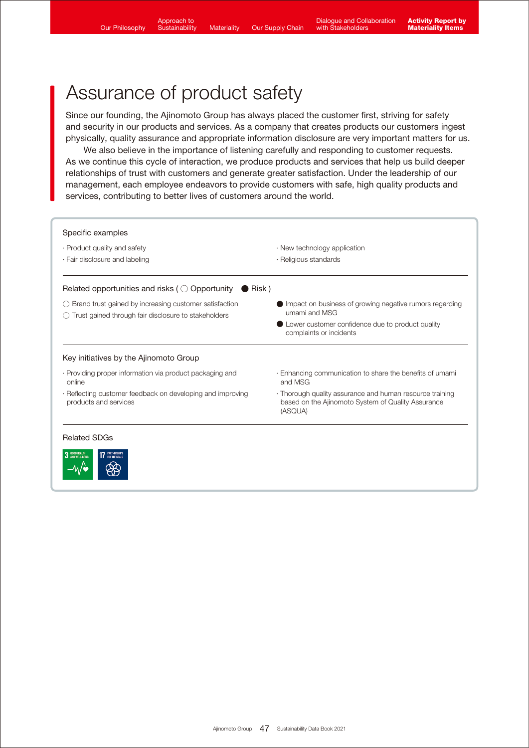–⁄v⁄∙

# Assurance of product safety

Since our founding, the Ajinomoto Group has always placed the customer first, striving for safety and security in our products and services. As a company that creates products our customers ingest physically, quality assurance and appropriate information disclosure are very important matters for us.

 We also believe in the importance of listening carefully and responding to customer requests. As we continue this cycle of interaction, we produce products and services that help us build deeper relationships of trust with customers and generate greater satisfaction. Under the leadership of our management, each employee endeavors to provide customers with safe, high quality products and services, contributing to better lives of customers around the world.

| · Product quality and safety<br>· Fair disclosure and labeling                                                 | $\cdot$ New technology application<br>· Religious standards                                                               |
|----------------------------------------------------------------------------------------------------------------|---------------------------------------------------------------------------------------------------------------------------|
| Related opportunities and risks ( $\bigcirc$ Opportunity $\bigcirc$ Risk)                                      |                                                                                                                           |
| Brand trust gained by increasing customer satisfaction<br>Trust gained through fair disclosure to stakeholders | Impact on business of growing negative rumors regarding<br>umami and MSG                                                  |
|                                                                                                                | Lower customer confidence due to product quality<br>complaints or incidents                                               |
| Key initiatives by the Ajinomoto Group                                                                         |                                                                                                                           |
| · Providing proper information via product packaging and<br>online                                             | Enhancing communication to share the benefits of umami<br>and MSG                                                         |
| · Reflecting customer feedback on developing and improving<br>products and services                            | · Thorough quality assurance and human resource training<br>based on the Ajinomoto System of Quality Assurance<br>(ASQUA) |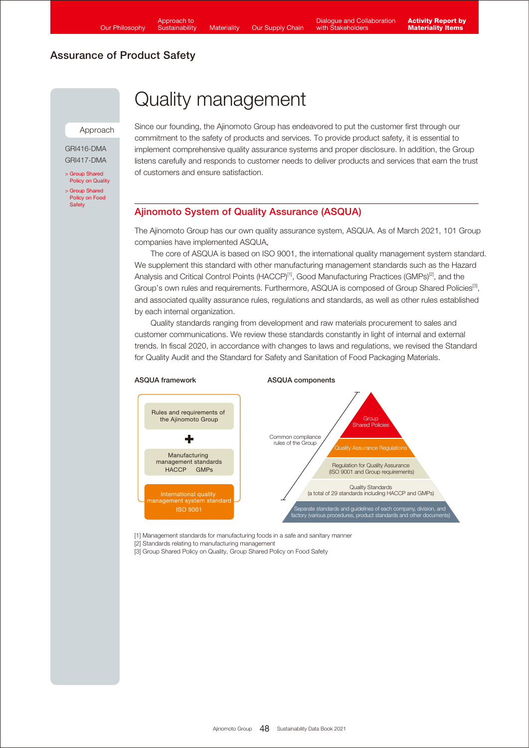Approach

GRI416-DMA GRI417-DMA

[> Group Shared](https://www.ajinomoto.com/sustainability/agp/quality.php)  Policy on Quality [> Group Shared](https://www.ajinomoto.com/sustainability/agp/food-safety.php)  Policy on Food Safety

# Quality management

Since our founding, the Ajinomoto Group has endeavored to put the customer first through our commitment to the safety of products and services. To provide product safety, it is essential to implement comprehensive quality assurance systems and proper disclosure. In addition, the Group listens carefully and responds to customer needs to deliver products and services that earn the trust of customers and ensure satisfaction.

## Ajinomoto System of Quality Assurance (ASQUA)

The Ajinomoto Group has our own quality assurance system, ASQUA. As of March 2021, 101 Group companies have implemented ASQUA.

 The core of ASQUA is based on ISO 9001, the international quality management system standard. We supplement this standard with other manufacturing management standards such as the Hazard Analysis and Critical Control Points (HACCP)<sup>[1]</sup>, Good Manufacturing Practices (GMPs)<sup>[2]</sup>, and the Group's own rules and requirements. Furthermore, ASQUA is composed of Group Shared Policies<sup>[3]</sup>, and associated quality assurance rules, regulations and standards, as well as other rules established by each internal organization.

 Quality standards ranging from development and raw materials procurement to sales and customer communications. We review these standards constantly in light of internal and external trends. In fiscal 2020, in accordance with changes to laws and regulations, we revised the Standard for Quality Audit and the Standard for Safety and Sanitation of Food Packaging Materials.



[1] Management standards for manufacturing foods in a safe and sanitary manner

[2] Standards relating to manufacturing management

[3] Group Shared Policy on Quality, Group Shared Policy on Food Safety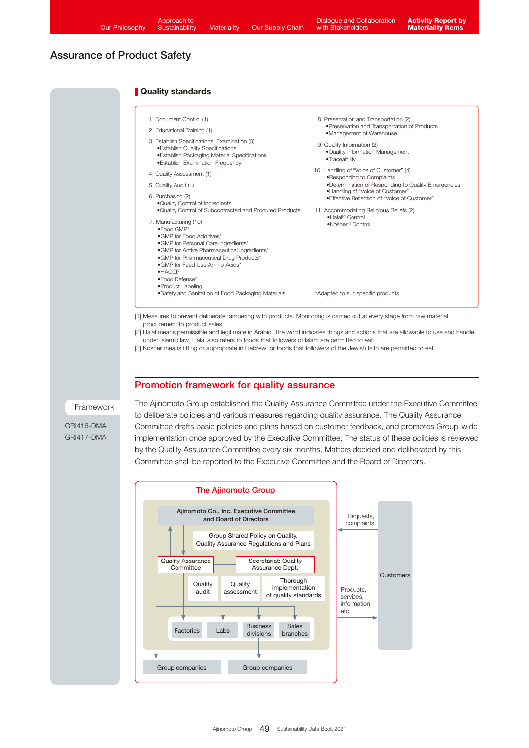#### **Quality standards**

- 7. Manufacturing (10) •Food GMP\* •GMP for Food Additives\* •GMP for Personal Care Ingredients\* •GMP for Active Pharmaceutical Ingredients\* •GMP for Pharmaceutical Drug Products\* •GMP for Feed Use Amino Acids\* •HACCP •Food Defense<sup>[1]</sup> •Product Labeling •Safety and Sanitation of Food Packaging Materials 9. Quality Information (2) •Quality Information Management •Traceability 1. Document Control (1) 2. Educational Training (1) 3. Establish Specifications, Examination (3) •Establish Quality Specifications •Establish Packaging Material Specifications •Establish Examination Frequency 4. Quality Assessment (1) 5. Quality Audit (1) 6. Purchasing (2) •Quality Control of Ingredients •Quality Control of Subcontracted and Procured Products 10. Handling of "Voice of Customer" (4) •Responding to Complaints •Determination of Responding to Quality Emergencies •Handling of "Voice of Customer" •Effective Reflection of "Voice of Customer" 11. Accommodating Religious Beliefs (2) •Halal[2] Control •Kosher[3] Control 8. Preservation and Transportation (2) •Preservation and Transportation of Products •Management of Warehouse \*Adapted to suit specific products [1] Measures to prevent deliberate tampering with products. Monitoring is carried out at every stage from raw material procurement to product sales. [2] Halal means permissible and legitimate in Arabic. The word indicates things and actions that are allowable to use and handle
	- under Islamic law. Halal also refers to foods that followers of Islam are permitted to eat. [3] Kosher means fitting or appropriate in Hebrew, or foods that followers of the Jewish faith are permitted to eat.

#### Promotion framework for quality assurance

#### Framework

GRI416-DMA GRI417-DMA The Ajinomoto Group established the Quality Assurance Committee under the Executive Committee to deliberate policies and various measures regarding quality assurance. The Quality Assurance Committee drafts basic policies and plans based on customer feedback, and promotes Group-wide implementation once approved by the Executive Committee. The status of these policies is reviewed by the Quality Assurance Committee every six months. Matters decided and deliberated by this Committee shall be reported to the Executive Committee and the Board of Directors.

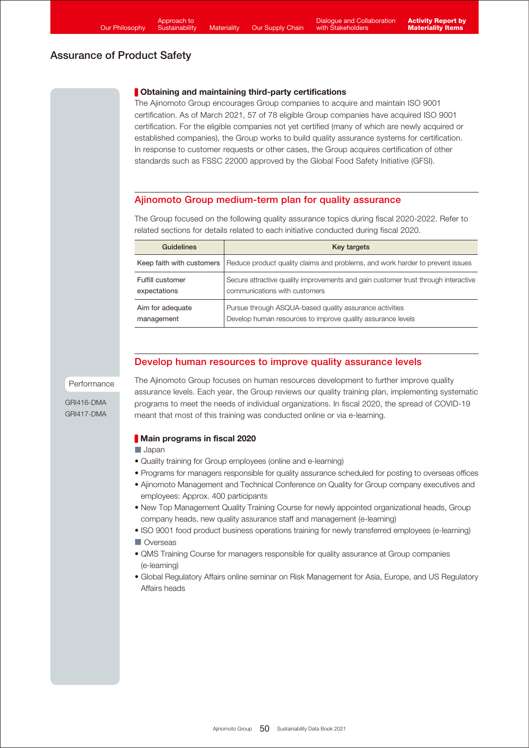### **Obtaining and maintaining third-party certifications**

The Ajinomoto Group encourages Group companies to acquire and maintain ISO 9001 certification. As of March 2021, 57 of 78 eligible Group companies have acquired ISO 9001 certification. For the eligible companies not yet certified (many of which are newly acquired or established companies), the Group works to build quality assurance systems for certification. In response to customer requests or other cases, the Group acquires certification of other standards such as FSSC 22000 approved by the Global Food Safety Initiative (GFSI).

## Ajinomoto Group medium-term plan for quality assurance

The Group focused on the following quality assurance topics during fiscal 2020-2022. Refer to related sections for details related to each initiative conducted during fiscal 2020.

| <b>Guidelines</b>         | Key targets                                                                        |
|---------------------------|------------------------------------------------------------------------------------|
| Keep faith with customers | Reduce product quality claims and problems, and work harder to prevent issues      |
| Fulfill customer          | Secure attractive quality improvements and gain customer trust through interactive |
| expectations              | communications with customers                                                      |
| Aim for adequate          | Pursue through ASQUA-based quality assurance activities                            |
| management                | Develop human resources to improve quality assurance levels                        |

## Develop human resources to improve quality assurance levels

Performance

GRI416-DMA GRI417-DMA The Ajinomoto Group focuses on human resources development to further improve quality assurance levels. Each year, the Group reviews our quality training plan, implementing systematic programs to meet the needs of individual organizations. In fiscal 2020, the spread of COVID-19 meant that most of this training was conducted online or via e-learning.

## **Main programs in fiscal 2020**

#### ■ Japan

- Quality training for Group employees (online and e-learning)
- Programs for managers responsible for quality assurance scheduled for posting to overseas offices
- Ajinomoto Management and Technical Conference on Quality for Group company executives and employees: Approx. 400 participants
- New Top Management Quality Training Course for newly appointed organizational heads, Group company heads, new quality assurance staff and management (e-learning)
- ISO 9001 food product business operations training for newly transferred employees (e-learning) ■ Overseas
- QMS Training Course for managers responsible for quality assurance at Group companies (e-learning)
- Global Regulatory Affairs online seminar on Risk Management for Asia, Europe, and US Regulatory Affairs heads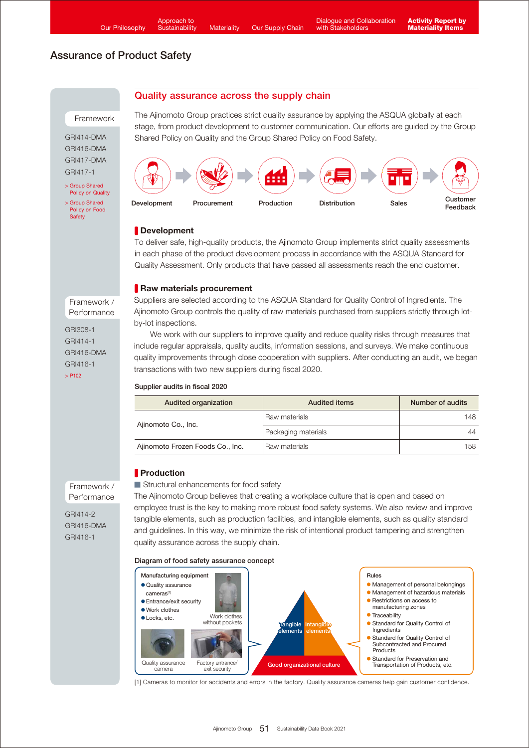Quality assurance across the supply chain

# Assurance of Product Safety

#### Framework

GRI414-DMA GRI416-DMA GRI417-DMA GRI417-1

- > Group Shared **[Policy on Quality](https://www.ajinomoto.com/sustainability/agp/quality.php)** [> Group Shared](https://www.ajinomoto.com/sustainability/agp/food-safety.php)
- Policy on Food **Safety**

The Ajinomoto Group practices strict quality assurance by applying the ASQUA globally at each stage, from product development to customer communication. Our efforts are guided by the Group Shared Policy on Quality and the Group Shared Policy on Food Safety.



## **Development**

To deliver safe, high-quality products, the Ajinomoto Group implements strict quality assessments in each phase of the product development process in accordance with the ASQUA Standard for Quality Assessment. Only products that have passed all assessments reach the end customer.

### Raw materials procurement

Suppliers are selected according to the ASQUA Standard for Quality Control of Ingredients. The Ajinomoto Group controls the quality of raw materials purchased from suppliers strictly through lotby-lot inspections.

We work with our suppliers to improve quality and reduce quality risks through measures that include regular appraisals, quality audits, information sessions, and surveys. We make continuous quality improvements through close cooperation with suppliers. After conducting an audit, we began transactions with two new suppliers during fiscal 2020.

#### Supplier audits in fiscal 2020

| Audited organization             | <b>Audited items</b> | Number of audits |
|----------------------------------|----------------------|------------------|
| Ajinomoto Co., Inc.              | Raw materials        | 148.             |
|                                  | Packaging materials  | 44               |
| Ajinomoto Frozen Foods Co., Inc. | Raw materials        | 158              |

## **Production**

■ Structural enhancements for food safety

The Ajinomoto Group believes that creating a workplace culture that is open and based on employee trust is the key to making more robust food safety systems. We also review and improve tangible elements, such as production facilities, and intangible elements, such as quality standard and guidelines. In this way, we minimize the risk of intentional product tampering and strengthen quality assurance across the supply chain.

#### Diagram of food safety assurance concept



[1] Cameras to monitor for accidents and errors in the factory. Quality assurance cameras help gain customer confidence.

Framework / Performance

GRI308-1 GRI414-1 GRI416-DMA GRI416-1  $>$  P<sub>102</sub>

Framework / Performance

GRI414-2 GRI416-DMA GRI416-1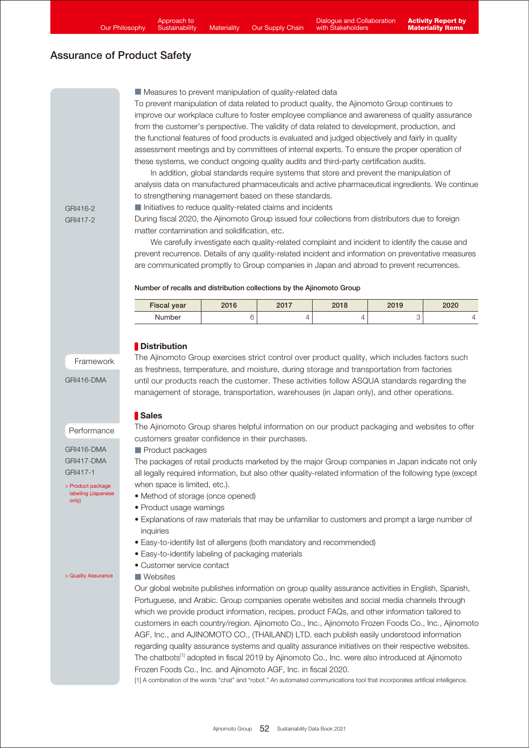■ Measures to prevent manipulation of quality-related data

To prevent manipulation of data related to product quality, the Ajinomoto Group continues to improve our workplace culture to foster employee compliance and awareness of quality assurance from the customer's perspective. The validity of data related to development, production, and the functional features of food products is evaluated and judged objectively and fairly in quality assessment meetings and by committees of internal experts. To ensure the proper operation of these systems, we conduct ongoing quality audits and third-party certification audits.

 In addition, global standards require systems that store and prevent the manipulation of analysis data on manufactured pharmaceuticals and active pharmaceutical ingredients. We continue to strengthening management based on these standards.

■ Initiatives to reduce quality-related claims and incidents

GRI416-2 GRI417-2

During fiscal 2020, the Ajinomoto Group issued four collections from distributors due to foreign matter contamination and solidification, etc.

 We carefully investigate each quality-related complaint and incident to identify the cause and prevent recurrence. Details of any quality-related incident and information on preventative measures are communicated promptly to Group companies in Japan and abroad to prevent recurrences.

#### Number of recalls and distribution collections by the Ajinomoto Group

| <b>Fiscal year</b> | ኃስ1 ፎ | ንስ17<br>20 I I | ገበ 1 0<br>2010 <sup>-</sup> | 2019 | 2020 |
|--------------------|-------|----------------|-----------------------------|------|------|
| Number             |       |                |                             |      |      |

### **Distribution**

Framework

GRI416-DMA

The Ajinomoto Group exercises strict control over product quality, which includes factors such as freshness, temperature, and moisture, during storage and transportation from factories until our products reach the customer. These activities follow ASQUA standards regarding the management of storage, transportation, warehouses (in Japan only), and other operations.

#### Performance

GRI416-DMA GRI417-DMA GRI417-1

[> Product package](https://www.ajinomoto.co.jp/products/anzen/package.html)  labeling (Japanese only)

[> Quality Assurance](https://www.ajinomoto.com/aboutus/quality_assurance)

#### **Sales**

The Ajinomoto Group shares helpful information on our product packaging and websites to offer customers greater confidence in their purchases.

#### ■ Product packages

The packages of retail products marketed by the major Group companies in Japan indicate not only all legally required information, but also other quality-related information of the following type (except when space is limited, etc.).

- Method of storage (once opened)
- Product usage warnings
- Explanations of raw materials that may be unfamiliar to customers and prompt a large number of inquiries
- Easy-to-identify list of allergens (both mandatory and recommended)
- Easy-to-identify labeling of packaging materials
- Customer service contact

#### ■ Websites

Our global website publishes information on group quality assurance activities in English, Spanish, Portuguese, and Arabic. Group companies operate websites and social media channels through which we provide product information, recipes, product FAQs, and other information tailored to customers in each country/region. Ajinomoto Co., Inc., Ajinomoto Frozen Foods Co., Inc., Ajinomoto AGF, Inc., and AJINOMOTO CO., (THAILAND) LTD. each publish easily understood information regarding quality assurance systems and quality assurance initiatives on their respective websites. The chatbots<sup>[1]</sup> adopted in fiscal 2019 by Ajinomoto Co., Inc. were also introduced at Ajinomoto Frozen Foods Co., Inc. and Ajinomoto AGF, Inc. in fiscal 2020.

[1] A combination of the words "chat" and "robot." An automated communications tool that incorporates artificial intelligence.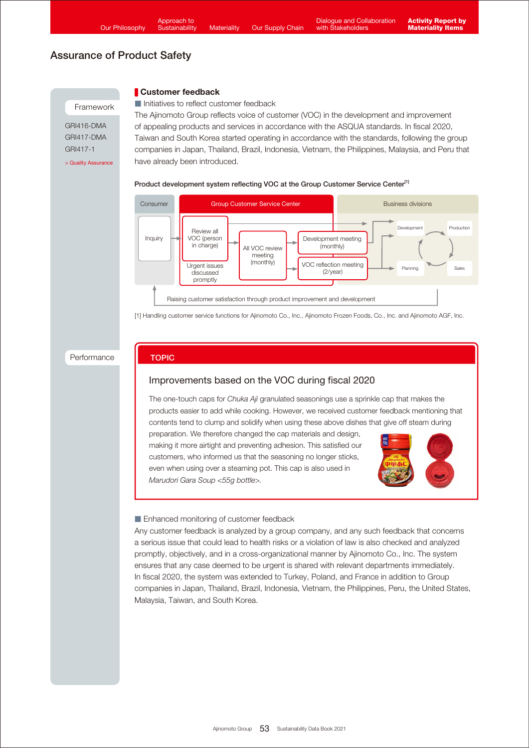**Customer feedback** 

TOPIC

# Assurance of Product Safety

#### Framework

GRI416-DMA GRI417-DMA GRI417-1

■ Initiatives to reflect customer feedback The Ajinomoto Group reflects voice of customer (VOC) in the development and improvement of appealing products and services in accordance with the ASQUA standards. In fiscal 2020, Taiwan and South Korea started operating in accordance with the standards, following the group companies in Japan, Thailand, Brazil, Indonesia, Vietnam, the Philippines, Malaysia, and Peru that [> Quality Assurance](https://www.ajinomoto.com/aboutus/quality_assurance) have already been introduced.

#### Product development system reflecting VOC at the Group Customer Service Center<sup>[1]</sup>



[1] Handling customer service functions for Ajinomoto Co., Inc., Ajinomoto Frozen Foods, Co., Inc. and Ajinomoto AGF, Inc.

#### Performance

## Improvements based on the VOC during fiscal 2020

The one-touch caps for *Chuka Aji* granulated seasonings use a sprinkle cap that makes the products easier to add while cooking. However, we received customer feedback mentioning that contents tend to clump and solidify when using these above dishes that give off steam during

preparation. We therefore changed the cap materials and design, making it more airtight and preventing adhesion. This satisfied our customers, who informed us that the seasoning no longer sticks, even when using over a steaming pot. This cap is also used in *Marudori Gara Soup <55g bottle>.*



#### ■ Enhanced monitoring of customer feedback

Any customer feedback is analyzed by a group company, and any such feedback that concerns a serious issue that could lead to health risks or a violation of law is also checked and analyzed promptly, objectively, and in a cross-organizational manner by Ajinomoto Co., Inc. The system ensures that any case deemed to be urgent is shared with relevant departments immediately. In fiscal 2020, the system was extended to Turkey, Poland, and France in addition to Group companies in Japan, Thailand, Brazil, Indonesia, Vietnam, the Philippines, Peru, the United States, Malaysia, Taiwan, and South Korea.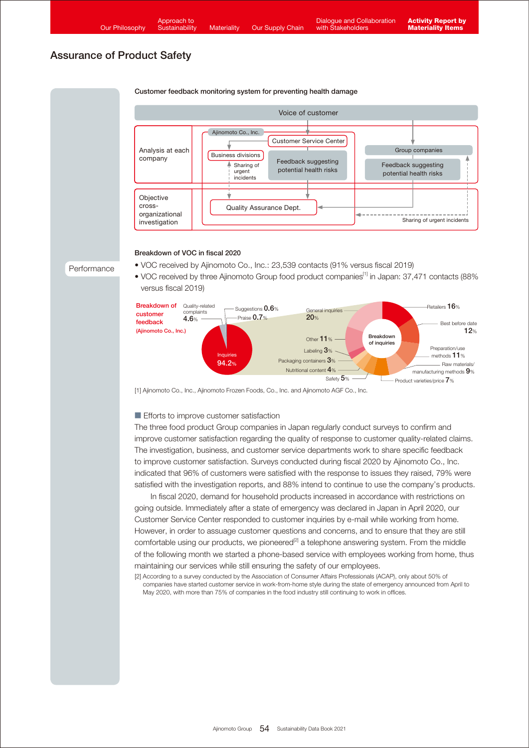#### Customer feedback monitoring system for preventing health damage



#### Breakdown of VOC in fiscal 2020

Performance

• VOC received by Ajinomoto Co., Inc.: 23,539 contacts (91% versus fiscal 2019) • VOC received by three Ajinomoto Group food product companies<sup>[1]</sup> in Japan: 37,471 contacts (88% versus fiscal 2019)



[1] Ajinomoto Co., Inc., Ajinomoto Frozen Foods, Co., Inc. and Ajinomoto AGF Co., Inc.

#### ■ Efforts to improve customer satisfaction

The three food product Group companies in Japan regularly conduct surveys to confirm and improve customer satisfaction regarding the quality of response to customer quality-related claims. The investigation, business, and customer service departments work to share specific feedback to improve customer satisfaction. Surveys conducted during fiscal 2020 by Ajinomoto Co., Inc. indicated that 96% of customers were satisfied with the response to issues they raised, 79% were satisfied with the investigation reports, and 88% intend to continue to use the company's products.

 In fiscal 2020, demand for household products increased in accordance with restrictions on going outside. Immediately after a state of emergency was declared in Japan in April 2020, our Customer Service Center responded to customer inquiries by e-mail while working from home. However, in order to assuage customer questions and concerns, and to ensure that they are still comfortable using our products, we pioneered<sup>[2]</sup> a telephone answering system. From the middle of the following month we started a phone-based service with employees working from home, thus maintaining our services while still ensuring the safety of our employees.

[2] According to a survey conducted by the Association of Consumer Affairs Professionals (ACAP), only about 50% of companies have started customer service in work-from-home style during the state of emergency announced from April to May 2020, with more than 75% of companies in the food industry still continuing to work in offices.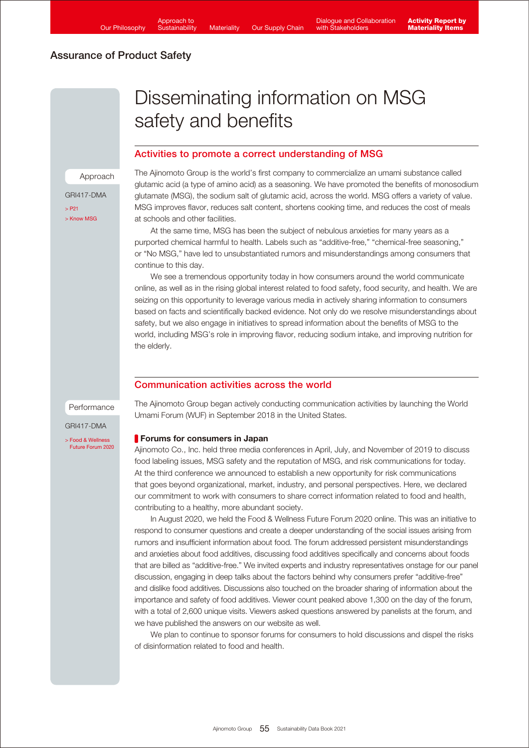# Disseminating information on MSG safety and benefits

## Activities to promote a correct understanding of MSG

Approach GRI417-DMA

 $\sim$  P21 [> Know MSG](https://www.knowmsg.com/) The Ajinomoto Group is the world's first company to commercialize an umami substance called glutamic acid (a type of amino acid) as a seasoning. We have promoted the benefits of monosodium glutamate (MSG), the sodium salt of glutamic acid, across the world. MSG offers a variety of value. MSG improves flavor, reduces salt content, shortens cooking time, and reduces the cost of meals at schools and other facilities.

 At the same time, MSG has been the subject of nebulous anxieties for many years as a purported chemical harmful to health. Labels such as "additive-free," "chemical-free seasoning," or "No MSG," have led to unsubstantiated rumors and misunderstandings among consumers that continue to this day.

 We see a tremendous opportunity today in how consumers around the world communicate online, as well as in the rising global interest related to food safety, food security, and health. We are seizing on this opportunity to leverage various media in actively sharing information to consumers based on facts and scientifically backed evidence. Not only do we resolve misunderstandings about safety, but we also engage in initiatives to spread information about the benefits of MSG to the world, including MSG's role in improving flavor, reducing sodium intake, and improving nutrition for the elderly.

## Communication activities across the world

Performance

GRI417-DMA

[> Food & Wellness](https://www.ajinomoto.com/media/events/food-wellness-future-forum-part-1)  Future Forum 2020 The Ajinomoto Group began actively conducting communication activities by launching the World Umami Forum (WUF) in September 2018 in the United States.

#### **Forums for consumers in Japan**

Ajinomoto Co., Inc. held three media conferences in April, July, and November of 2019 to discuss food labeling issues, MSG safety and the reputation of MSG, and risk communications for today. At the third conference we announced to establish a new opportunity for risk communications that goes beyond organizational, market, industry, and personal perspectives. Here, we declared our commitment to work with consumers to share correct information related to food and health, contributing to a healthy, more abundant society.

 In August 2020, we held the Food & Wellness Future Forum 2020 online. This was an initiative to respond to consumer questions and create a deeper understanding of the social issues arising from rumors and insufficient information about food. The forum addressed persistent misunderstandings and anxieties about food additives, discussing food additives specifically and concerns about foods that are billed as "additive-free." We invited experts and industry representatives onstage for our panel discussion, engaging in deep talks about the factors behind why consumers prefer "additive-free" and dislike food additives. Discussions also touched on the broader sharing of information about the importance and safety of food additives. Viewer count peaked above 1,300 on the day of the forum, with a total of 2,600 unique visits. Viewers asked questions answered by panelists at the forum, and we have published the answers on our website as well.

 We plan to continue to sponsor forums for consumers to hold discussions and dispel the risks of disinformation related to food and health.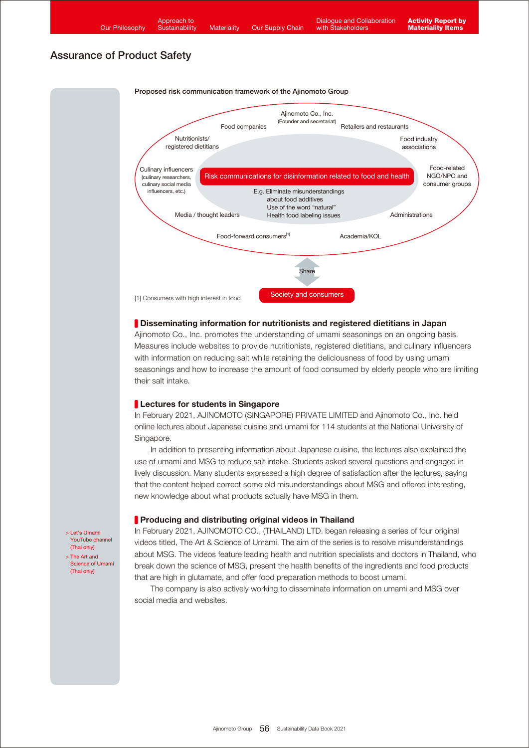



#### **Disseminating information for nutritionists and registered dietitians in Japan**

Ajinomoto Co., Inc. promotes the understanding of umami seasonings on an ongoing basis. Measures include websites to provide nutritionists, registered dietitians, and culinary influencers with information on reducing salt while retaining the deliciousness of food by using umami seasonings and how to increase the amount of food consumed by elderly people who are limiting their salt intake.

#### **Lectures for students in Singapore**

In February 2021, AJINOMOTO (SINGAPORE) PRIVATE LIMITED and Ajinomoto Co., Inc. held online lectures about Japanese cuisine and umami for 114 students at the National University of Singapore.

 In addition to presenting information about Japanese cuisine, the lectures also explained the use of umami and MSG to reduce salt intake. Students asked several questions and engaged in lively discussion. Many students expressed a high degree of satisfaction after the lectures, saying that the content helped correct some old misunderstandings about MSG and offered interesting, new knowledge about what products actually have MSG in them.

#### **Producing and distributing original videos in Thailand**

In February 2021, AJINOMOTO CO., (THAILAND) LTD. began releasing a series of four original videos titled, The Art & Science of Umami. The aim of the series is to resolve misunderstandings about MSG. The videos feature leading health and nutrition specialists and doctors in Thailand, who break down the science of MSG, present the health benefits of the ingredients and food products that are high in glutamate, and offer food preparation methods to boost umami.

 The company is also actively working to disseminate information on umami and MSG over social media and websites.

> Let's Umami [YouTube channel](https://www.youtube.com/channel/UCQJxnhQs2Il5k4BHRNW9oqA) (Thai only) > The Art and

[Science of Umami](https://umami-lovers.com/) (Thai only)